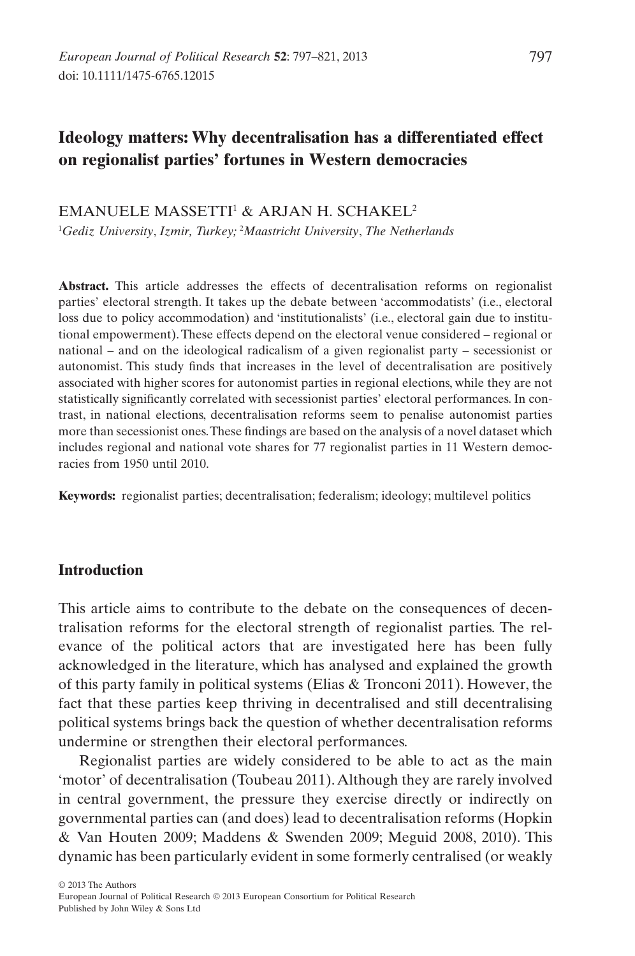# **Ideology matters: Why decentralisation has a differentiated effect on regionalist parties' fortunes in Western democracies**

# EMANUELE MASSETTI<sup>1</sup> & ARJAN H. SCHAKEL<sup>2</sup>

1 *Gediz University*, *Izmir, Turkey;* <sup>2</sup> *Maastricht University*, *The Netherlands*

**Abstract.** This article addresses the effects of decentralisation reforms on regionalist parties' electoral strength. It takes up the debate between 'accommodatists' (i.e., electoral loss due to policy accommodation) and 'institutionalists' (i.e., electoral gain due to institutional empowerment). These effects depend on the electoral venue considered – regional or national – and on the ideological radicalism of a given regionalist party – secessionist or autonomist. This study finds that increases in the level of decentralisation are positively associated with higher scores for autonomist parties in regional elections, while they are not statistically significantly correlated with secessionist parties' electoral performances. In contrast, in national elections, decentralisation reforms seem to penalise autonomist parties more than secessionist ones.These findings are based on the analysis of a novel dataset which includes regional and national vote shares for 77 regionalist parties in 11 Western democracies from 1950 until 2010.

**Keywords:** regionalist parties; decentralisation; federalism; ideology; multilevel politics

## **Introduction**

This article aims to contribute to the debate on the consequences of decentralisation reforms for the electoral strength of regionalist parties. The relevance of the political actors that are investigated here has been fully acknowledged in the literature, which has analysed and explained the growth of this party family in political systems (Elias & Tronconi 2011). However, the fact that these parties keep thriving in decentralised and still decentralising political systems brings back the question of whether decentralisation reforms undermine or strengthen their electoral performances.

Regionalist parties are widely considered to be able to act as the main 'motor' of decentralisation (Toubeau 2011). Although they are rarely involved in central government, the pressure they exercise directly or indirectly on governmental parties can (and does) lead to decentralisation reforms (Hopkin & Van Houten 2009; Maddens & Swenden 2009; Meguid 2008, 2010). This dynamic has been particularly evident in some formerly centralised (or weakly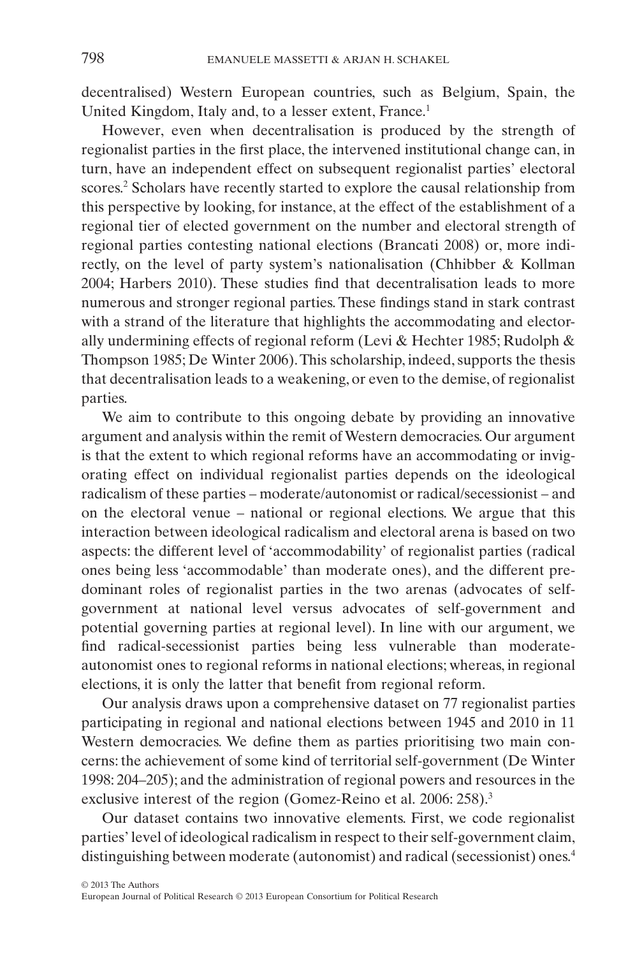decentralised) Western European countries, such as Belgium, Spain, the United Kingdom, Italy and, to a lesser extent, France.<sup>1</sup>

However, even when decentralisation is produced by the strength of regionalist parties in the first place, the intervened institutional change can, in turn, have an independent effect on subsequent regionalist parties' electoral scores.<sup>2</sup> Scholars have recently started to explore the causal relationship from this perspective by looking, for instance, at the effect of the establishment of a regional tier of elected government on the number and electoral strength of regional parties contesting national elections (Brancati 2008) or, more indirectly, on the level of party system's nationalisation (Chhibber & Kollman 2004; Harbers 2010). These studies find that decentralisation leads to more numerous and stronger regional parties. These findings stand in stark contrast with a strand of the literature that highlights the accommodating and electorally undermining effects of regional reform (Levi & Hechter 1985; Rudolph & Thompson 1985; De Winter 2006).This scholarship, indeed, supports the thesis that decentralisation leads to a weakening, or even to the demise, of regionalist parties.

We aim to contribute to this ongoing debate by providing an innovative argument and analysis within the remit of Western democracies. Our argument is that the extent to which regional reforms have an accommodating or invigorating effect on individual regionalist parties depends on the ideological radicalism of these parties – moderate/autonomist or radical/secessionist – and on the electoral venue – national or regional elections. We argue that this interaction between ideological radicalism and electoral arena is based on two aspects: the different level of 'accommodability' of regionalist parties (radical ones being less 'accommodable' than moderate ones), and the different predominant roles of regionalist parties in the two arenas (advocates of selfgovernment at national level versus advocates of self-government and potential governing parties at regional level). In line with our argument, we find radical-secessionist parties being less vulnerable than moderateautonomist ones to regional reforms in national elections; whereas, in regional elections, it is only the latter that benefit from regional reform.

Our analysis draws upon a comprehensive dataset on 77 regionalist parties participating in regional and national elections between 1945 and 2010 in 11 Western democracies. We define them as parties prioritising two main concerns: the achievement of some kind of territorial self-government (De Winter 1998: 204–205); and the administration of regional powers and resources in the exclusive interest of the region (Gomez-Reino et al. 2006: 258).<sup>3</sup>

Our dataset contains two innovative elements. First, we code regionalist parties' level of ideological radicalism in respect to their self-government claim, distinguishing between moderate (autonomist) and radical (secessionist) ones.4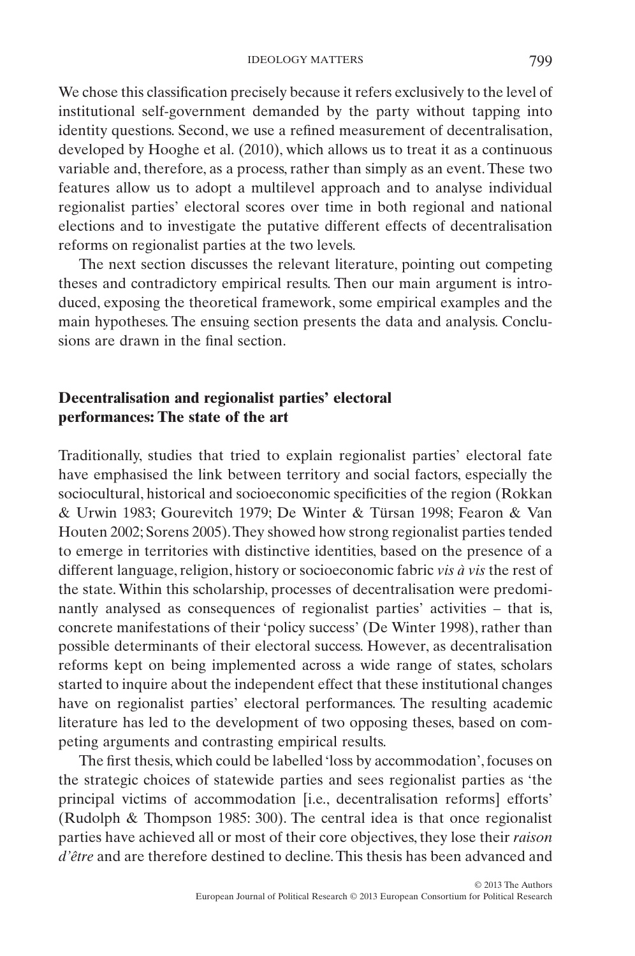We chose this classification precisely because it refers exclusively to the level of institutional self-government demanded by the party without tapping into identity questions. Second, we use a refined measurement of decentralisation, developed by Hooghe et al. (2010), which allows us to treat it as a continuous variable and, therefore, as a process, rather than simply as an event. These two features allow us to adopt a multilevel approach and to analyse individual regionalist parties' electoral scores over time in both regional and national elections and to investigate the putative different effects of decentralisation reforms on regionalist parties at the two levels.

The next section discusses the relevant literature, pointing out competing theses and contradictory empirical results. Then our main argument is introduced, exposing the theoretical framework, some empirical examples and the main hypotheses. The ensuing section presents the data and analysis. Conclusions are drawn in the final section.

# **Decentralisation and regionalist parties' electoral performances: The state of the art**

Traditionally, studies that tried to explain regionalist parties' electoral fate have emphasised the link between territory and social factors, especially the sociocultural, historical and socioeconomic specificities of the region (Rokkan & Urwin 1983; Gourevitch 1979; De Winter & Türsan 1998; Fearon & Van Houten 2002; Sorens 2005).They showed how strong regionalist parties tended to emerge in territories with distinctive identities, based on the presence of a different language, religion, history or socioeconomic fabric *vis à vis* the rest of the state. Within this scholarship, processes of decentralisation were predominantly analysed as consequences of regionalist parties' activities – that is, concrete manifestations of their 'policy success' (De Winter 1998), rather than possible determinants of their electoral success. However, as decentralisation reforms kept on being implemented across a wide range of states, scholars started to inquire about the independent effect that these institutional changes have on regionalist parties' electoral performances. The resulting academic literature has led to the development of two opposing theses, based on competing arguments and contrasting empirical results.

The first thesis, which could be labelled 'loss by accommodation', focuses on the strategic choices of statewide parties and sees regionalist parties as 'the principal victims of accommodation [i.e., decentralisation reforms] efforts' (Rudolph & Thompson 1985: 300). The central idea is that once regionalist parties have achieved all or most of their core objectives, they lose their *raison d'être* and are therefore destined to decline. This thesis has been advanced and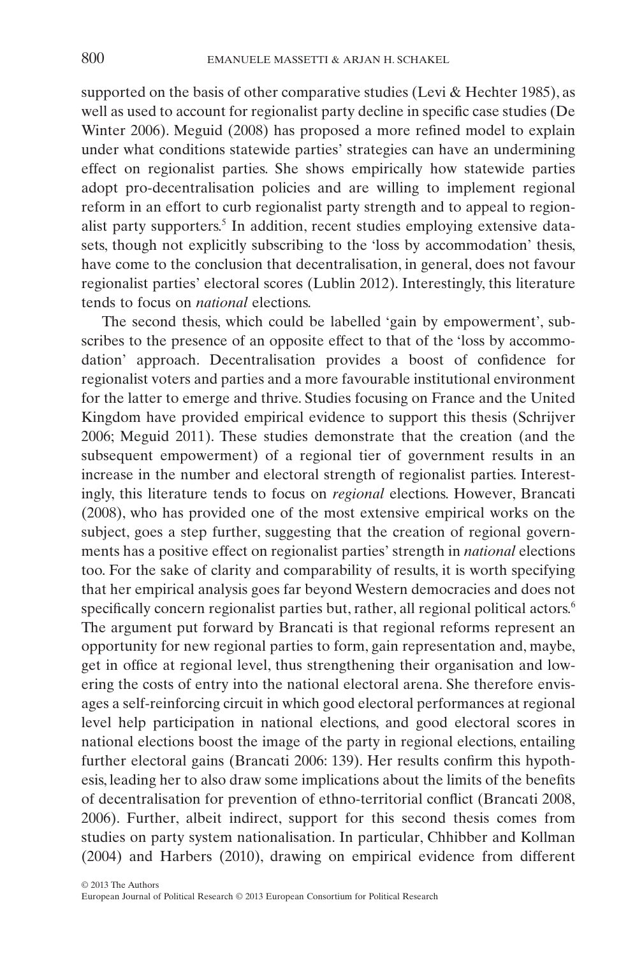supported on the basis of other comparative studies (Levi & Hechter 1985), as well as used to account for regionalist party decline in specific case studies (De Winter 2006). Meguid (2008) has proposed a more refined model to explain under what conditions statewide parties' strategies can have an undermining effect on regionalist parties. She shows empirically how statewide parties adopt pro-decentralisation policies and are willing to implement regional reform in an effort to curb regionalist party strength and to appeal to regionalist party supporters.<sup>5</sup> In addition, recent studies employing extensive datasets, though not explicitly subscribing to the 'loss by accommodation' thesis, have come to the conclusion that decentralisation, in general, does not favour regionalist parties' electoral scores (Lublin 2012). Interestingly, this literature tends to focus on *national* elections.

The second thesis, which could be labelled 'gain by empowerment', subscribes to the presence of an opposite effect to that of the 'loss by accommodation' approach. Decentralisation provides a boost of confidence for regionalist voters and parties and a more favourable institutional environment for the latter to emerge and thrive. Studies focusing on France and the United Kingdom have provided empirical evidence to support this thesis (Schrijver 2006; Meguid 2011). These studies demonstrate that the creation (and the subsequent empowerment) of a regional tier of government results in an increase in the number and electoral strength of regionalist parties. Interestingly, this literature tends to focus on *regional* elections. However, Brancati (2008), who has provided one of the most extensive empirical works on the subject, goes a step further, suggesting that the creation of regional governments has a positive effect on regionalist parties' strength in *national* elections too. For the sake of clarity and comparability of results, it is worth specifying that her empirical analysis goes far beyond Western democracies and does not specifically concern regionalist parties but, rather, all regional political actors.<sup>6</sup> The argument put forward by Brancati is that regional reforms represent an opportunity for new regional parties to form, gain representation and, maybe, get in office at regional level, thus strengthening their organisation and lowering the costs of entry into the national electoral arena. She therefore envisages a self-reinforcing circuit in which good electoral performances at regional level help participation in national elections, and good electoral scores in national elections boost the image of the party in regional elections, entailing further electoral gains (Brancati 2006: 139). Her results confirm this hypothesis, leading her to also draw some implications about the limits of the benefits of decentralisation for prevention of ethno-territorial conflict (Brancati 2008, 2006). Further, albeit indirect, support for this second thesis comes from studies on party system nationalisation. In particular, Chhibber and Kollman (2004) and Harbers (2010), drawing on empirical evidence from different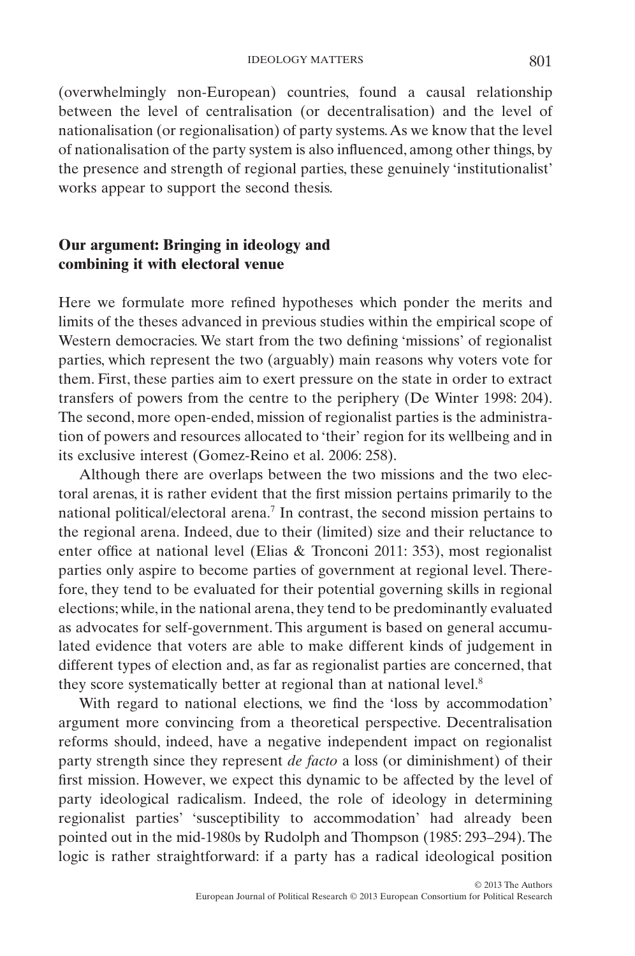(overwhelmingly non-European) countries, found a causal relationship between the level of centralisation (or decentralisation) and the level of nationalisation (or regionalisation) of party systems.As we know that the level of nationalisation of the party system is also influenced, among other things, by the presence and strength of regional parties, these genuinely 'institutionalist' works appear to support the second thesis.

## **Our argument: Bringing in ideology and combining it with electoral venue**

Here we formulate more refined hypotheses which ponder the merits and limits of the theses advanced in previous studies within the empirical scope of Western democracies. We start from the two defining 'missions' of regionalist parties, which represent the two (arguably) main reasons why voters vote for them. First, these parties aim to exert pressure on the state in order to extract transfers of powers from the centre to the periphery (De Winter 1998: 204). The second, more open-ended, mission of regionalist parties is the administration of powers and resources allocated to 'their' region for its wellbeing and in its exclusive interest (Gomez-Reino et al. 2006: 258).

Although there are overlaps between the two missions and the two electoral arenas, it is rather evident that the first mission pertains primarily to the national political/electoral arena.7 In contrast, the second mission pertains to the regional arena. Indeed, due to their (limited) size and their reluctance to enter office at national level (Elias & Tronconi 2011: 353), most regionalist parties only aspire to become parties of government at regional level. Therefore, they tend to be evaluated for their potential governing skills in regional elections; while, in the national arena, they tend to be predominantly evaluated as advocates for self-government. This argument is based on general accumulated evidence that voters are able to make different kinds of judgement in different types of election and, as far as regionalist parties are concerned, that they score systematically better at regional than at national level.<sup>8</sup>

With regard to national elections, we find the 'loss by accommodation' argument more convincing from a theoretical perspective. Decentralisation reforms should, indeed, have a negative independent impact on regionalist party strength since they represent *de facto* a loss (or diminishment) of their first mission. However, we expect this dynamic to be affected by the level of party ideological radicalism. Indeed, the role of ideology in determining regionalist parties' 'susceptibility to accommodation' had already been pointed out in the mid-1980s by Rudolph and Thompson (1985: 293–294). The logic is rather straightforward: if a party has a radical ideological position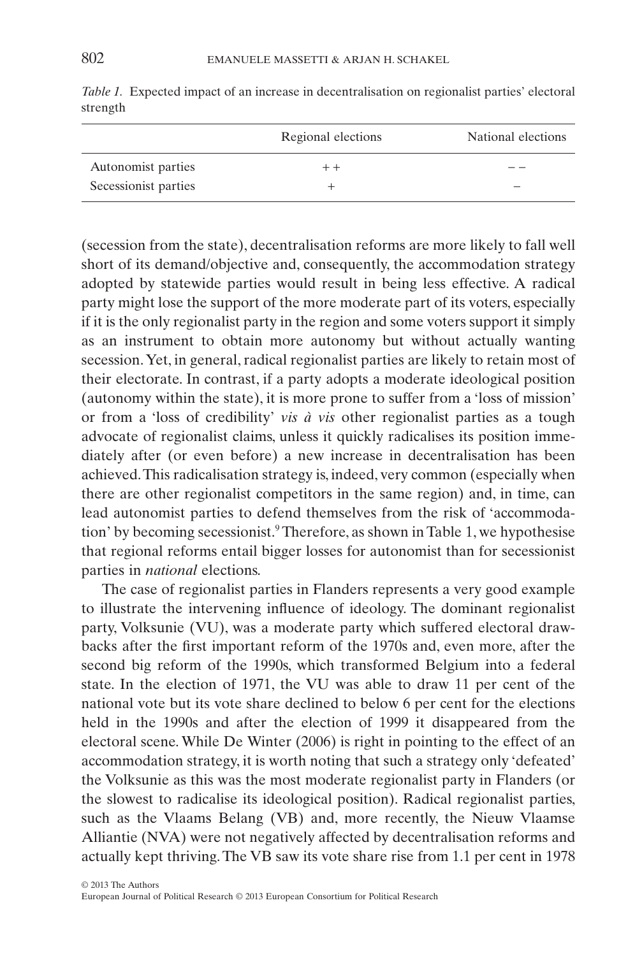|                      | Regional elections | National elections |
|----------------------|--------------------|--------------------|
| Autonomist parties   |                    |                    |
| Secessionist parties |                    |                    |

*Table 1.* Expected impact of an increase in decentralisation on regionalist parties' electoral strength

(secession from the state), decentralisation reforms are more likely to fall well short of its demand/objective and, consequently, the accommodation strategy adopted by statewide parties would result in being less effective. A radical party might lose the support of the more moderate part of its voters, especially if it is the only regionalist party in the region and some voters support it simply as an instrument to obtain more autonomy but without actually wanting secession. Yet, in general, radical regionalist parties are likely to retain most of their electorate. In contrast, if a party adopts a moderate ideological position (autonomy within the state), it is more prone to suffer from a 'loss of mission' or from a 'loss of credibility' *vis à vis* other regionalist parties as a tough advocate of regionalist claims, unless it quickly radicalises its position immediately after (or even before) a new increase in decentralisation has been achieved.This radicalisation strategy is, indeed, very common (especially when there are other regionalist competitors in the same region) and, in time, can lead autonomist parties to defend themselves from the risk of 'accommodation' by becoming secessionist.<sup>9</sup> Therefore, as shown in Table 1, we hypothesise that regional reforms entail bigger losses for autonomist than for secessionist parties in *national* elections.

The case of regionalist parties in Flanders represents a very good example to illustrate the intervening influence of ideology. The dominant regionalist party, Volksunie (VU), was a moderate party which suffered electoral drawbacks after the first important reform of the 1970s and, even more, after the second big reform of the 1990s, which transformed Belgium into a federal state. In the election of 1971, the VU was able to draw 11 per cent of the national vote but its vote share declined to below 6 per cent for the elections held in the 1990s and after the election of 1999 it disappeared from the electoral scene. While De Winter (2006) is right in pointing to the effect of an accommodation strategy, it is worth noting that such a strategy only 'defeated' the Volksunie as this was the most moderate regionalist party in Flanders (or the slowest to radicalise its ideological position). Radical regionalist parties, such as the Vlaams Belang (VB) and, more recently, the Nieuw Vlaamse Alliantie (NVA) were not negatively affected by decentralisation reforms and actually kept thriving. The VB saw its vote share rise from 1.1 per cent in 1978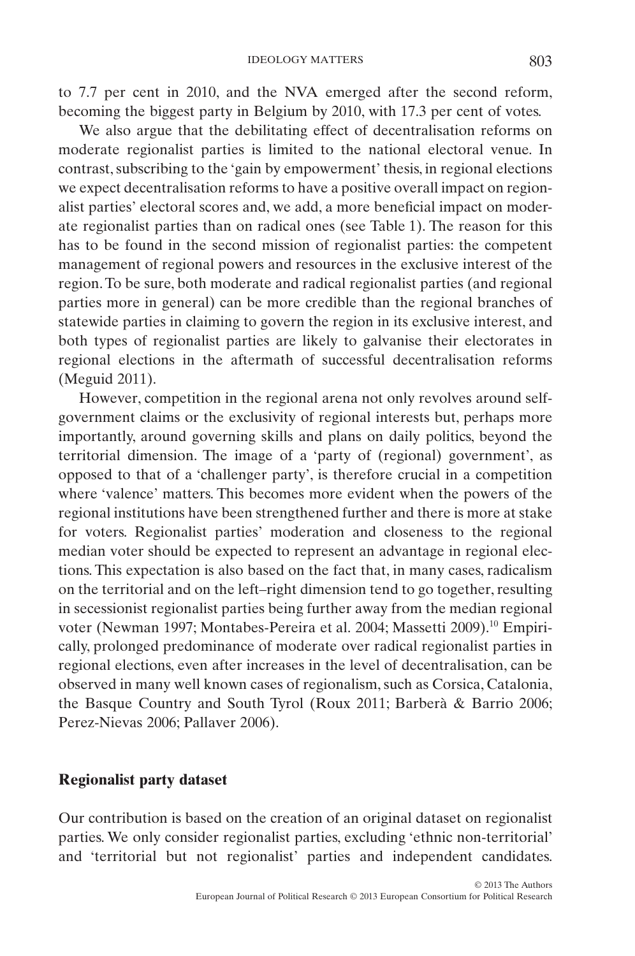to 7.7 per cent in 2010, and the NVA emerged after the second reform, becoming the biggest party in Belgium by 2010, with 17.3 per cent of votes.

We also argue that the debilitating effect of decentralisation reforms on moderate regionalist parties is limited to the national electoral venue. In contrast, subscribing to the 'gain by empowerment' thesis, in regional elections we expect decentralisation reforms to have a positive overall impact on regionalist parties' electoral scores and, we add, a more beneficial impact on moderate regionalist parties than on radical ones (see Table 1). The reason for this has to be found in the second mission of regionalist parties: the competent management of regional powers and resources in the exclusive interest of the region. To be sure, both moderate and radical regionalist parties (and regional parties more in general) can be more credible than the regional branches of statewide parties in claiming to govern the region in its exclusive interest, and both types of regionalist parties are likely to galvanise their electorates in regional elections in the aftermath of successful decentralisation reforms (Meguid 2011).

However, competition in the regional arena not only revolves around selfgovernment claims or the exclusivity of regional interests but, perhaps more importantly, around governing skills and plans on daily politics, beyond the territorial dimension. The image of a 'party of (regional) government', as opposed to that of a 'challenger party', is therefore crucial in a competition where 'valence' matters. This becomes more evident when the powers of the regional institutions have been strengthened further and there is more at stake for voters. Regionalist parties' moderation and closeness to the regional median voter should be expected to represent an advantage in regional elections. This expectation is also based on the fact that, in many cases, radicalism on the territorial and on the left–right dimension tend to go together, resulting in secessionist regionalist parties being further away from the median regional voter (Newman 1997; Montabes-Pereira et al. 2004; Massetti 2009).<sup>10</sup> Empirically, prolonged predominance of moderate over radical regionalist parties in regional elections, even after increases in the level of decentralisation, can be observed in many well known cases of regionalism, such as Corsica, Catalonia, the Basque Country and South Tyrol (Roux 2011; Barberà & Barrio 2006; Perez-Nievas 2006; Pallaver 2006).

#### **Regionalist party dataset**

Our contribution is based on the creation of an original dataset on regionalist parties. We only consider regionalist parties, excluding 'ethnic non-territorial' and 'territorial but not regionalist' parties and independent candidates.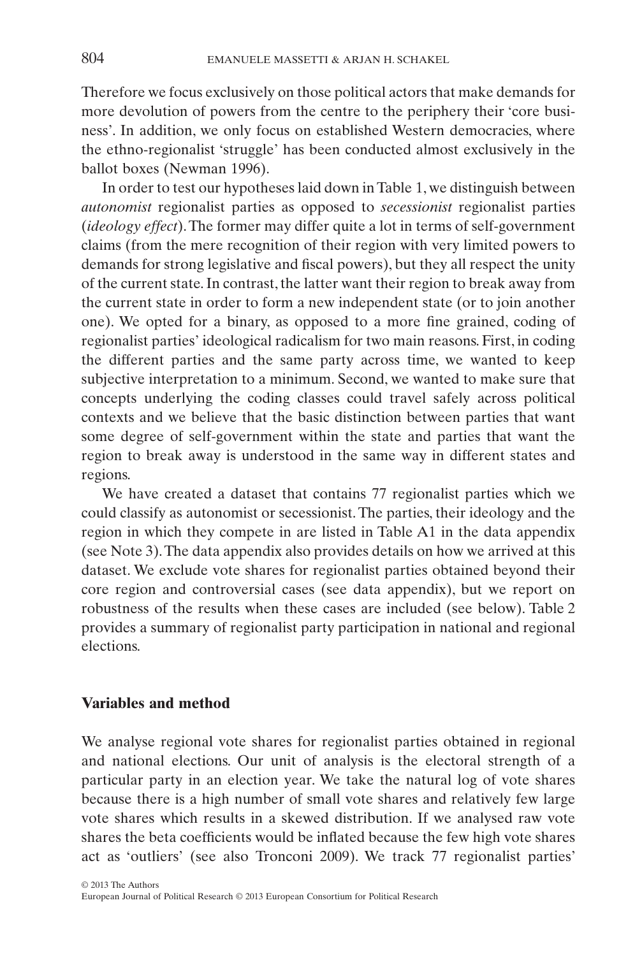Therefore we focus exclusively on those political actors that make demands for more devolution of powers from the centre to the periphery their 'core business'. In addition, we only focus on established Western democracies, where the ethno-regionalist 'struggle' has been conducted almost exclusively in the ballot boxes (Newman 1996).

In order to test our hypotheses laid down in Table 1, we distinguish between *autonomist* regionalist parties as opposed to *secessionist* regionalist parties (*ideology effect*).The former may differ quite a lot in terms of self-government claims (from the mere recognition of their region with very limited powers to demands for strong legislative and fiscal powers), but they all respect the unity of the current state. In contrast, the latter want their region to break away from the current state in order to form a new independent state (or to join another one). We opted for a binary, as opposed to a more fine grained, coding of regionalist parties' ideological radicalism for two main reasons. First, in coding the different parties and the same party across time, we wanted to keep subjective interpretation to a minimum. Second, we wanted to make sure that concepts underlying the coding classes could travel safely across political contexts and we believe that the basic distinction between parties that want some degree of self-government within the state and parties that want the region to break away is understood in the same way in different states and regions.

We have created a dataset that contains 77 regionalist parties which we could classify as autonomist or secessionist. The parties, their ideology and the region in which they compete in are listed in Table A1 in the data appendix (see Note 3).The data appendix also provides details on how we arrived at this dataset. We exclude vote shares for regionalist parties obtained beyond their core region and controversial cases (see data appendix), but we report on robustness of the results when these cases are included (see below). Table 2 provides a summary of regionalist party participation in national and regional elections.

## **Variables and method**

We analyse regional vote shares for regionalist parties obtained in regional and national elections. Our unit of analysis is the electoral strength of a particular party in an election year. We take the natural log of vote shares because there is a high number of small vote shares and relatively few large vote shares which results in a skewed distribution. If we analysed raw vote shares the beta coefficients would be inflated because the few high vote shares act as 'outliers' (see also Tronconi 2009). We track 77 regionalist parties'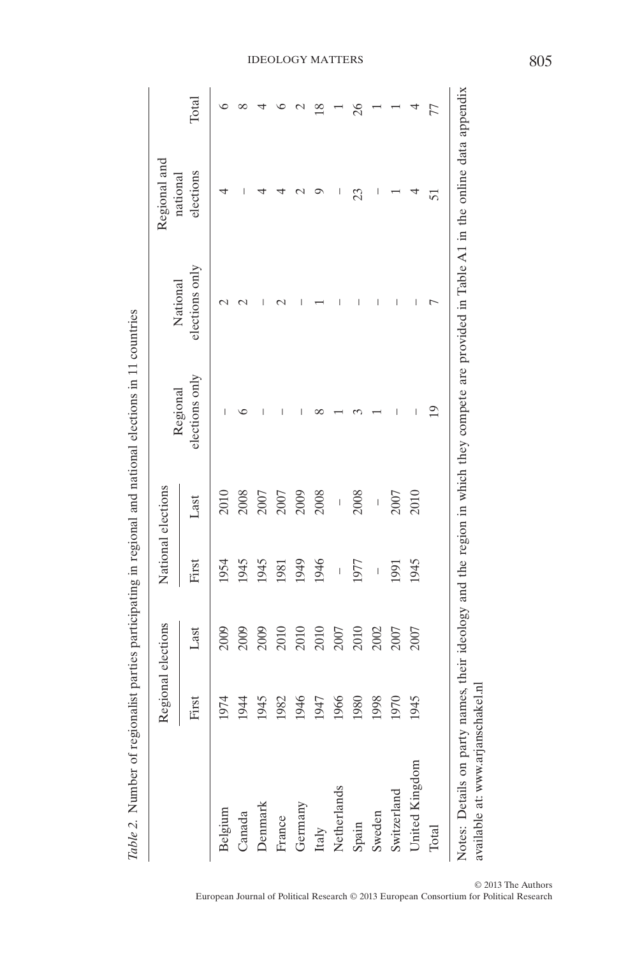|                |       | Regional elections |                          | National elections       | Regional                 | National                                                                                                                                                                                                                                                                                                                                                                         | Regional and          |        |
|----------------|-------|--------------------|--------------------------|--------------------------|--------------------------|----------------------------------------------------------------------------------------------------------------------------------------------------------------------------------------------------------------------------------------------------------------------------------------------------------------------------------------------------------------------------------|-----------------------|--------|
|                | First | Last               | First                    | Last                     | elections only           | elections only                                                                                                                                                                                                                                                                                                                                                                   | elections<br>national | Total  |
| Belgium        | 1974  | 2009               | 1954                     | 2010                     | I                        |                                                                                                                                                                                                                                                                                                                                                                                  |                       |        |
| Canada         | 1944  | 2009               | 1945                     | 2008                     |                          |                                                                                                                                                                                                                                                                                                                                                                                  |                       |        |
| Denmark        | 1945  | 2009               | 1945                     | 2007                     |                          |                                                                                                                                                                                                                                                                                                                                                                                  |                       |        |
| France         | 1982  | 2010               | 1981                     | 2007                     |                          |                                                                                                                                                                                                                                                                                                                                                                                  |                       |        |
| Germany        | 1946  | 2010               | 1949                     | 2009                     | I                        |                                                                                                                                                                                                                                                                                                                                                                                  |                       |        |
| Italy          | 1947  | 2010               | 1946                     | 2008                     |                          |                                                                                                                                                                                                                                                                                                                                                                                  |                       | $^{8}$ |
| Netherlands    | 1966  | 2007               | $\overline{\phantom{a}}$ | $\overline{\phantom{a}}$ |                          |                                                                                                                                                                                                                                                                                                                                                                                  | I                     |        |
| Spain          | 1980  | 2010               | 1977                     | 2008                     |                          | $\overline{\phantom{a}}$                                                                                                                                                                                                                                                                                                                                                         | 23                    | 26     |
| Sweden         | 1998  | 2002               | l                        | I                        |                          | I                                                                                                                                                                                                                                                                                                                                                                                | ı                     |        |
| Switzerland    | 070   | 2007               | 1991                     | 2007                     |                          | I                                                                                                                                                                                                                                                                                                                                                                                |                       |        |
| United Kingdom | 1945  | 2007               | 1945                     | 2010                     | $\overline{\phantom{a}}$ | $\begin{array}{c} \rule{0pt}{2.5ex} \rule{0pt}{2.5ex} \rule{0pt}{2.5ex} \rule{0pt}{2.5ex} \rule{0pt}{2.5ex} \rule{0pt}{2.5ex} \rule{0pt}{2.5ex} \rule{0pt}{2.5ex} \rule{0pt}{2.5ex} \rule{0pt}{2.5ex} \rule{0pt}{2.5ex} \rule{0pt}{2.5ex} \rule{0pt}{2.5ex} \rule{0pt}{2.5ex} \rule{0pt}{2.5ex} \rule{0pt}{2.5ex} \rule{0pt}{2.5ex} \rule{0pt}{2.5ex} \rule{0pt}{2.5ex} \rule{0$ |                       |        |
| Total          |       |                    |                          |                          | $\frac{0}{1}$            | ٣                                                                                                                                                                                                                                                                                                                                                                                | 51                    | 77     |

© 2013 The Authors European Journal of Political Research © 2013 European Consortium for Political Research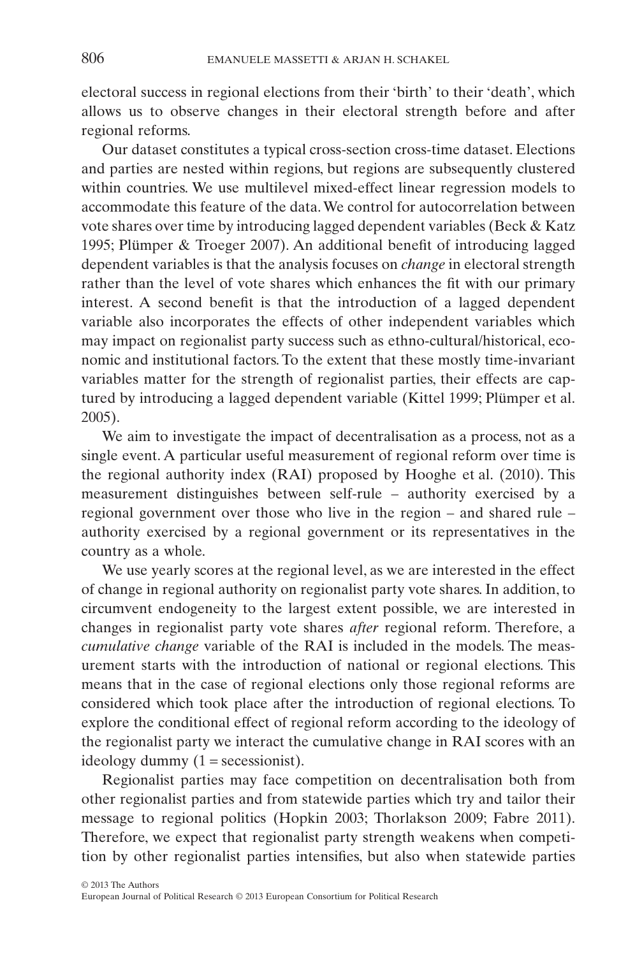electoral success in regional elections from their 'birth' to their 'death', which allows us to observe changes in their electoral strength before and after regional reforms.

Our dataset constitutes a typical cross-section cross-time dataset. Elections and parties are nested within regions, but regions are subsequently clustered within countries. We use multilevel mixed-effect linear regression models to accommodate this feature of the data. We control for autocorrelation between vote shares over time by introducing lagged dependent variables (Beck & Katz 1995; Plümper & Troeger 2007). An additional benefit of introducing lagged dependent variables is that the analysis focuses on *change* in electoral strength rather than the level of vote shares which enhances the fit with our primary interest. A second benefit is that the introduction of a lagged dependent variable also incorporates the effects of other independent variables which may impact on regionalist party success such as ethno-cultural/historical, economic and institutional factors. To the extent that these mostly time-invariant variables matter for the strength of regionalist parties, their effects are captured by introducing a lagged dependent variable (Kittel 1999; Plümper et al. 2005).

We aim to investigate the impact of decentralisation as a process, not as a single event. A particular useful measurement of regional reform over time is the regional authority index (RAI) proposed by Hooghe et al. (2010). This measurement distinguishes between self-rule – authority exercised by a regional government over those who live in the region – and shared rule – authority exercised by a regional government or its representatives in the country as a whole.

We use yearly scores at the regional level, as we are interested in the effect of change in regional authority on regionalist party vote shares. In addition, to circumvent endogeneity to the largest extent possible, we are interested in changes in regionalist party vote shares *after* regional reform. Therefore, a *cumulative change* variable of the RAI is included in the models. The measurement starts with the introduction of national or regional elections. This means that in the case of regional elections only those regional reforms are considered which took place after the introduction of regional elections. To explore the conditional effect of regional reform according to the ideology of the regionalist party we interact the cumulative change in RAI scores with an ideology dummy  $(1 = \frac{1}{1 - \frac{1}{1 - \frac{1}{1 - \frac{1}{1 - \frac{1}{1 - \frac{1}{1 - \frac{1}{1 - \frac{1}{1 - \frac{1}{1 - \frac{1}{1 - \frac{1}{1 - \frac{1}{1 - \frac{1}{1 - \frac{1}{1 - \frac{1}{1 - \frac{1}{1 - \frac{1}{1 - \frac{1}{1 - \frac{1}{1 - \frac{1}{1 - \frac{1}{1 - \frac{1}{1 - \frac{1}{1 - \frac{1}{1 - \frac{1}{1 - \frac{1}{1 - \frac{1}{1 - \frac{1}{1 - \frac{1}{1$ 

Regionalist parties may face competition on decentralisation both from other regionalist parties and from statewide parties which try and tailor their message to regional politics (Hopkin 2003; Thorlakson 2009; Fabre 2011). Therefore, we expect that regionalist party strength weakens when competition by other regionalist parties intensifies, but also when statewide parties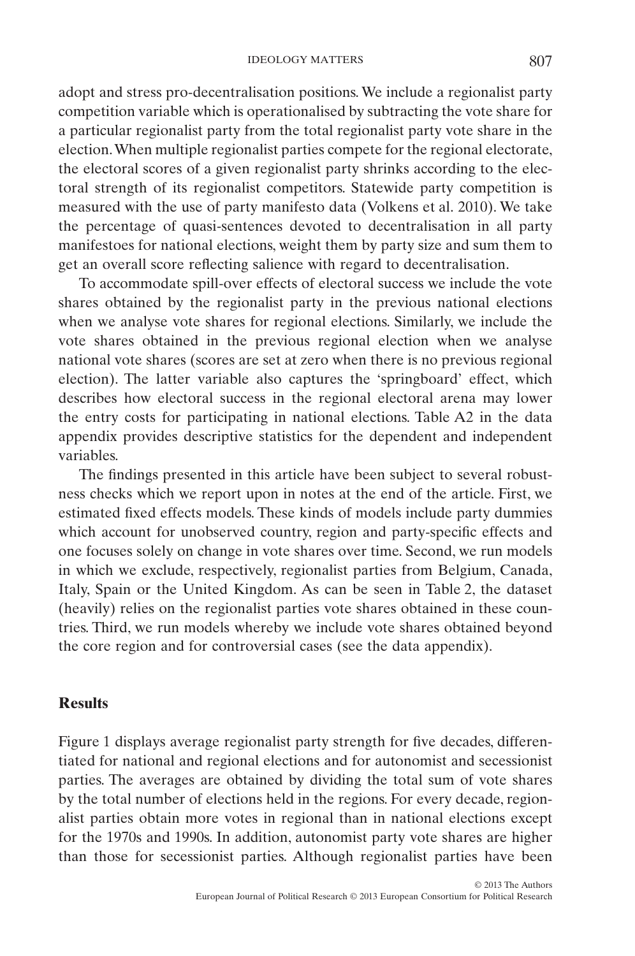adopt and stress pro-decentralisation positions. We include a regionalist party competition variable which is operationalised by subtracting the vote share for a particular regionalist party from the total regionalist party vote share in the election.When multiple regionalist parties compete for the regional electorate, the electoral scores of a given regionalist party shrinks according to the electoral strength of its regionalist competitors. Statewide party competition is measured with the use of party manifesto data (Volkens et al. 2010). We take the percentage of quasi-sentences devoted to decentralisation in all party manifestoes for national elections, weight them by party size and sum them to get an overall score reflecting salience with regard to decentralisation.

To accommodate spill-over effects of electoral success we include the vote shares obtained by the regionalist party in the previous national elections when we analyse vote shares for regional elections. Similarly, we include the vote shares obtained in the previous regional election when we analyse national vote shares (scores are set at zero when there is no previous regional election). The latter variable also captures the 'springboard' effect, which describes how electoral success in the regional electoral arena may lower the entry costs for participating in national elections. Table A2 in the data appendix provides descriptive statistics for the dependent and independent variables.

The findings presented in this article have been subject to several robustness checks which we report upon in notes at the end of the article. First, we estimated fixed effects models. These kinds of models include party dummies which account for unobserved country, region and party-specific effects and one focuses solely on change in vote shares over time. Second, we run models in which we exclude, respectively, regionalist parties from Belgium, Canada, Italy, Spain or the United Kingdom. As can be seen in Table 2, the dataset (heavily) relies on the regionalist parties vote shares obtained in these countries. Third, we run models whereby we include vote shares obtained beyond the core region and for controversial cases (see the data appendix).

#### **Results**

Figure 1 displays average regionalist party strength for five decades, differentiated for national and regional elections and for autonomist and secessionist parties. The averages are obtained by dividing the total sum of vote shares by the total number of elections held in the regions. For every decade, regionalist parties obtain more votes in regional than in national elections except for the 1970s and 1990s. In addition, autonomist party vote shares are higher than those for secessionist parties. Although regionalist parties have been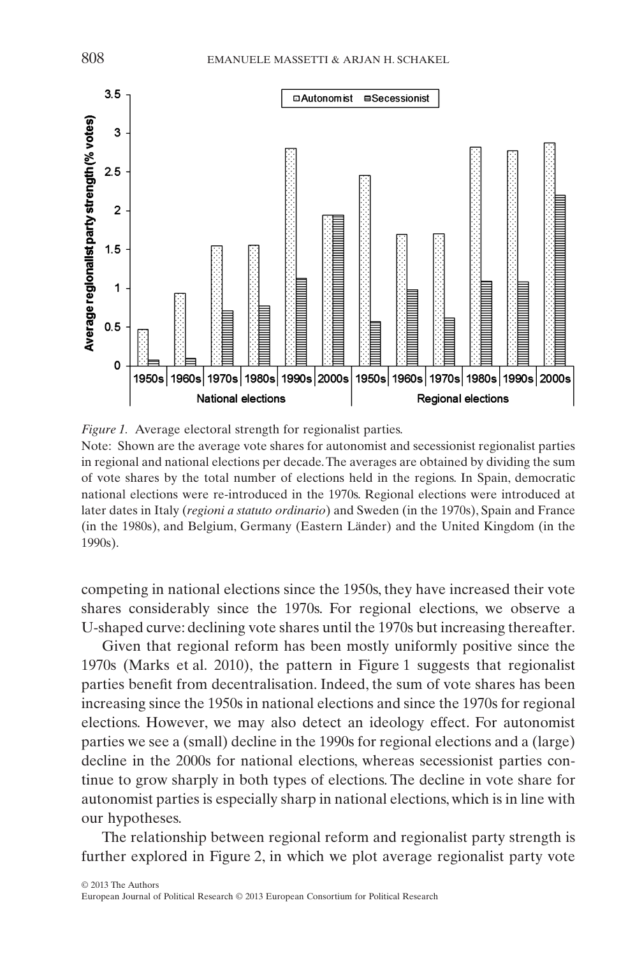



Note: Shown are the average vote shares for autonomist and secessionist regionalist parties in regional and national elections per decade.The averages are obtained by dividing the sum of vote shares by the total number of elections held in the regions. In Spain, democratic national elections were re-introduced in the 1970s. Regional elections were introduced at later dates in Italy (*regioni a statuto ordinario*) and Sweden (in the 1970s), Spain and France (in the 1980s), and Belgium, Germany (Eastern Länder) and the United Kingdom (in the 1990s).

competing in national elections since the 1950s, they have increased their vote shares considerably since the 1970s. For regional elections, we observe a U-shaped curve: declining vote shares until the 1970s but increasing thereafter.

Given that regional reform has been mostly uniformly positive since the 1970s (Marks et al. 2010), the pattern in Figure 1 suggests that regionalist parties benefit from decentralisation. Indeed, the sum of vote shares has been increasing since the 1950s in national elections and since the 1970s for regional elections. However, we may also detect an ideology effect. For autonomist parties we see a (small) decline in the 1990s for regional elections and a (large) decline in the 2000s for national elections, whereas secessionist parties continue to grow sharply in both types of elections. The decline in vote share for autonomist parties is especially sharp in national elections, which is in line with our hypotheses.

The relationship between regional reform and regionalist party strength is further explored in Figure 2, in which we plot average regionalist party vote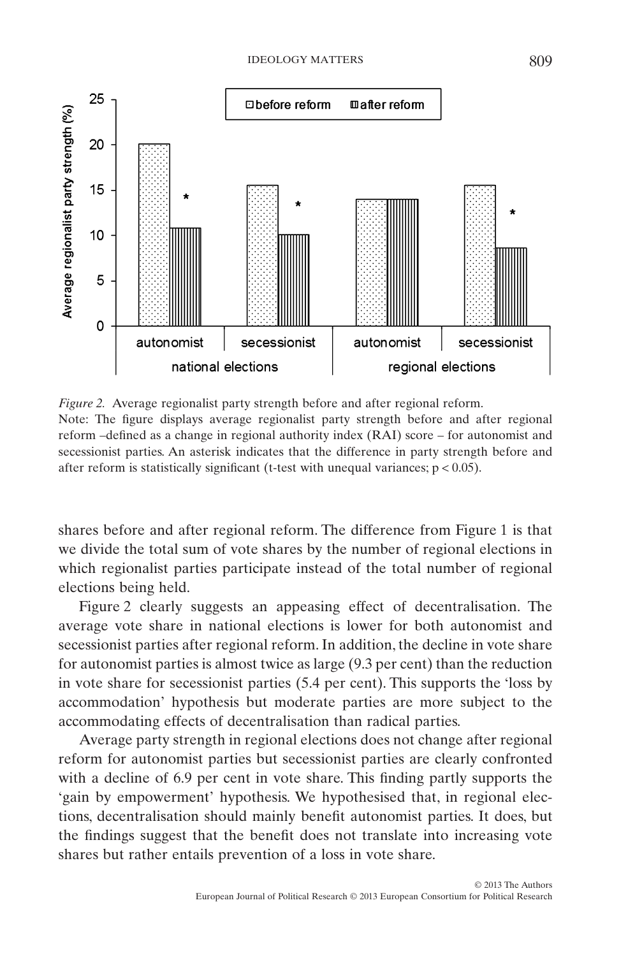

*Figure 2.* Average regionalist party strength before and after regional reform. Note: The figure displays average regionalist party strength before and after regional reform –defined as a change in regional authority index (RAI) score – for autonomist and secessionist parties. An asterisk indicates that the difference in party strength before and after reform is statistically significant (t-test with unequal variances;  $p < 0.05$ ).

shares before and after regional reform. The difference from Figure 1 is that we divide the total sum of vote shares by the number of regional elections in which regionalist parties participate instead of the total number of regional elections being held.

Figure 2 clearly suggests an appeasing effect of decentralisation. The average vote share in national elections is lower for both autonomist and secessionist parties after regional reform. In addition, the decline in vote share for autonomist parties is almost twice as large (9.3 per cent) than the reduction in vote share for secessionist parties (5.4 per cent). This supports the 'loss by accommodation' hypothesis but moderate parties are more subject to the accommodating effects of decentralisation than radical parties.

Average party strength in regional elections does not change after regional reform for autonomist parties but secessionist parties are clearly confronted with a decline of 6.9 per cent in vote share. This finding partly supports the 'gain by empowerment' hypothesis. We hypothesised that, in regional elections, decentralisation should mainly benefit autonomist parties. It does, but the findings suggest that the benefit does not translate into increasing vote shares but rather entails prevention of a loss in vote share.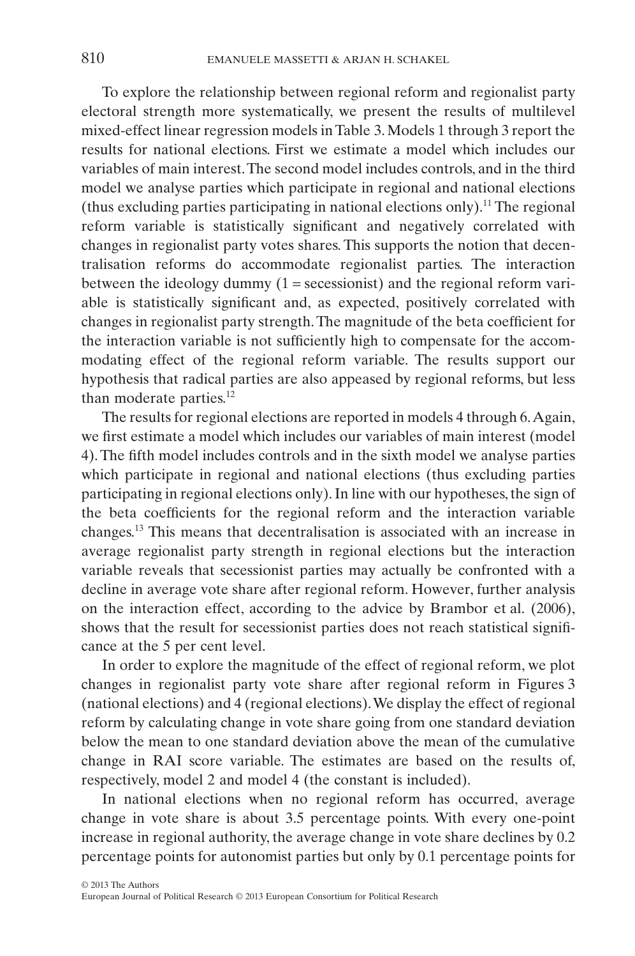To explore the relationship between regional reform and regionalist party electoral strength more systematically, we present the results of multilevel mixed-effect linear regression models in Table 3. Models 1 through 3 report the results for national elections. First we estimate a model which includes our variables of main interest.The second model includes controls, and in the third model we analyse parties which participate in regional and national elections (thus excluding parties participating in national elections only).<sup>11</sup> The regional reform variable is statistically significant and negatively correlated with changes in regionalist party votes shares. This supports the notion that decentralisation reforms do accommodate regionalist parties. The interaction between the ideology dummy  $(1 = \frac{1}{1 - e^{-\frac{1}{2}}}$  and the regional reform variable is statistically significant and, as expected, positively correlated with changes in regionalist party strength.The magnitude of the beta coefficient for the interaction variable is not sufficiently high to compensate for the accommodating effect of the regional reform variable. The results support our hypothesis that radical parties are also appeased by regional reforms, but less than moderate parties.<sup>12</sup>

The results for regional elections are reported in models 4 through 6.Again, we first estimate a model which includes our variables of main interest (model 4). The fifth model includes controls and in the sixth model we analyse parties which participate in regional and national elections (thus excluding parties participating in regional elections only). In line with our hypotheses, the sign of the beta coefficients for the regional reform and the interaction variable changes.13 This means that decentralisation is associated with an increase in average regionalist party strength in regional elections but the interaction variable reveals that secessionist parties may actually be confronted with a decline in average vote share after regional reform. However, further analysis on the interaction effect, according to the advice by Brambor et al. (2006), shows that the result for secessionist parties does not reach statistical significance at the 5 per cent level.

In order to explore the magnitude of the effect of regional reform, we plot changes in regionalist party vote share after regional reform in Figures 3 (national elections) and 4 (regional elections).We display the effect of regional reform by calculating change in vote share going from one standard deviation below the mean to one standard deviation above the mean of the cumulative change in RAI score variable. The estimates are based on the results of, respectively, model 2 and model 4 (the constant is included).

In national elections when no regional reform has occurred, average change in vote share is about 3.5 percentage points. With every one-point increase in regional authority, the average change in vote share declines by 0.2 percentage points for autonomist parties but only by 0.1 percentage points for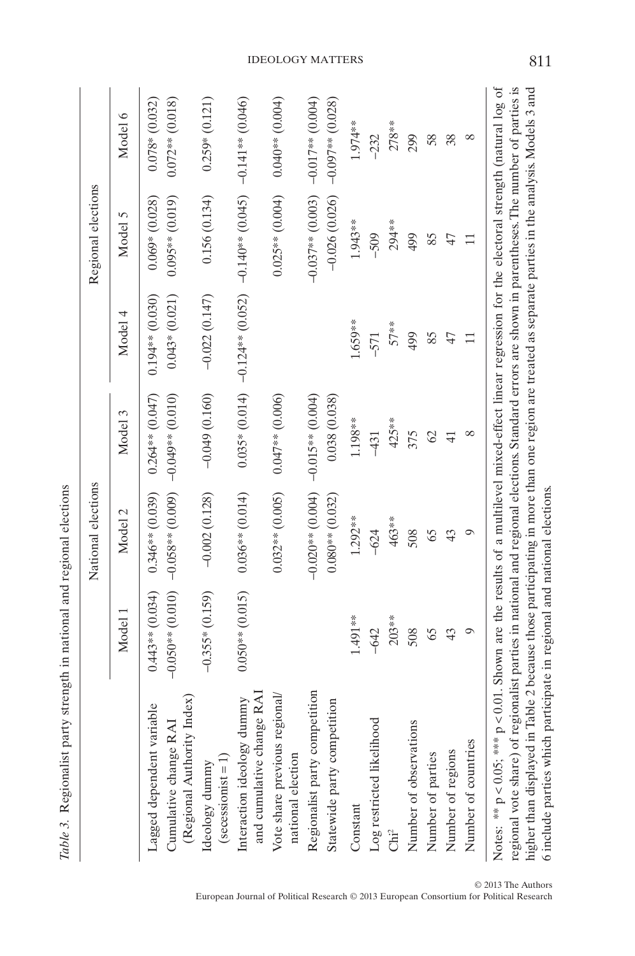|                                                                                                                                                                                                                                                                                                                                        |                    | National elections                      |                                    |                   | Regional elections                                                      |                                                                                                                              |
|----------------------------------------------------------------------------------------------------------------------------------------------------------------------------------------------------------------------------------------------------------------------------------------------------------------------------------------|--------------------|-----------------------------------------|------------------------------------|-------------------|-------------------------------------------------------------------------|------------------------------------------------------------------------------------------------------------------------------|
|                                                                                                                                                                                                                                                                                                                                        | Model 1            | Model 2                                 | Model 3                            | Model 4           | Model 5                                                                 | Model 6                                                                                                                      |
| Lagged dependent variable                                                                                                                                                                                                                                                                                                              | $0.443**$ (0.034)  | $0.346**$ (0.039)                       | $0.264**$ (0.047)                  | $0.194**$ (0.030) | $0.069*(0.028)$                                                         | $0.078*(0.032)$                                                                                                              |
| (Regional Authority Index)<br>Cumulative change RAI                                                                                                                                                                                                                                                                                    | $-0.050**$ (0.010) | $(01000)**8800000$ (0.000;0)            |                                    | $0.043*(0.021)$   | $0.095**$ (0.019)                                                       | $0.072**$ (0.018)                                                                                                            |
| (seconds)<br>Ideology dummy                                                                                                                                                                                                                                                                                                            | $-0.355*(0.159)$   | $-0.002(0.128)$                         | $-0.049(0.160)$                    | $-0.022(0.147)$   | 0.156(0.134)                                                            | $0.259*(0.121)$                                                                                                              |
| and cumulative change RAI<br>Interaction ideology dummy                                                                                                                                                                                                                                                                                | $0.050**$ (0.015)  | $0.036**$ (0.014)                       |                                    |                   | $(0.035*(0.035*(-0.12410)(0.045)) - (0.1240*(0.046)) - (0.045)(0.046))$ |                                                                                                                              |
| regional<br>Vote share previous<br>national election                                                                                                                                                                                                                                                                                   |                    | $0.032**$ (0.005)                       | $0.047**$ (0.006)                  |                   | $0.025**$ (0.004)                                                       | $0.040**$ (0.004)                                                                                                            |
| Regionalist party competition<br>Statewide party competition                                                                                                                                                                                                                                                                           |                    | $-0.020**$ (0.004)<br>$0.080**$ (0.032) | $-0.015**$ (0.004)<br>0.038(0.038) |                   | $-0.037**$ (0.003) $-0.017**$ (0.004)<br>$-0.026(0.026)$                | $-0.097**$ (0.028)                                                                                                           |
| Constant                                                                                                                                                                                                                                                                                                                               | $1.491***$         | 1.292**                                 | $1.198***$                         | 1.659**           | 1.943**                                                                 | 1.974 **                                                                                                                     |
| Log restricted likelihood                                                                                                                                                                                                                                                                                                              | $-642$             | $-624$                                  | $-431$                             | $-571$            | $-509$                                                                  | $-232$                                                                                                                       |
| $Chi^2$                                                                                                                                                                                                                                                                                                                                | $203**$            | 463**                                   | 425 **                             | $57**$            | 294**                                                                   | $278**$                                                                                                                      |
| Number of observations                                                                                                                                                                                                                                                                                                                 | 508                | 508                                     | 375                                | 499               | 499                                                                     | 299                                                                                                                          |
| Number of parties                                                                                                                                                                                                                                                                                                                      | 65                 | 65                                      | $\mathcal{O}$                      | 85                | 85                                                                      | 58                                                                                                                           |
| Number of regions                                                                                                                                                                                                                                                                                                                      | 43                 | 43                                      | $\overline{41}$                    | 47                | 47                                                                      | 38                                                                                                                           |
| Number of countries                                                                                                                                                                                                                                                                                                                    | Ó                  | ⊝                                       | ${}^{\circ}$                       | $\Xi$             | $\Box$                                                                  | $^{\circ}$                                                                                                                   |
| Notes: ** $p < 0.05$ ; *** $p < 0.01$ . Shown are the results of a multilevel mixed-effect linear regression for the electoral strength (natural log of<br>regional vote share) of regionalist parties in national and regional elections. Standard errors are shown in parentheses. The number of parties is<br>higher than displayed |                    |                                         |                                    |                   |                                                                         | in Table 2 because those participating in more than one region are treated as separate parties in the analysis. Models 3 and |
| 6 include parties which participate in regional and national elections.                                                                                                                                                                                                                                                                |                    |                                         |                                    |                   |                                                                         |                                                                                                                              |

Table 3. Regionalist party strength in national and regional elections *Table 3.* Regionalist party strength in national and regional elections

© 2013 The Authors

European Journal of Political Research © 2013 European Consortium for Political Research

IDEOLOGY MATTERS 811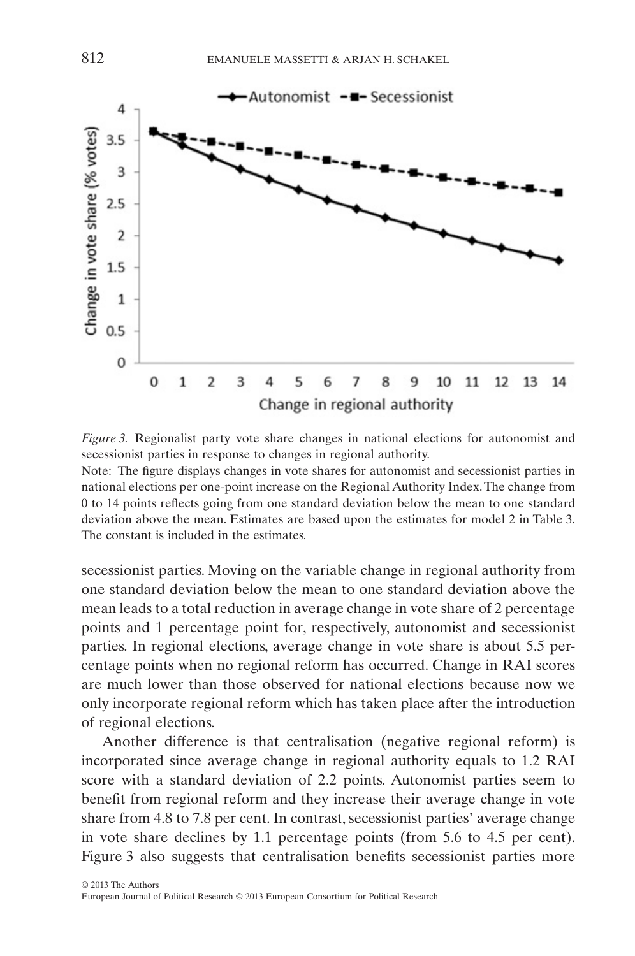

*Figure 3.* Regionalist party vote share changes in national elections for autonomist and secessionist parties in response to changes in regional authority.

Note: The figure displays changes in vote shares for autonomist and secessionist parties in national elections per one-point increase on the Regional Authority Index.The change from 0 to 14 points reflects going from one standard deviation below the mean to one standard deviation above the mean. Estimates are based upon the estimates for model 2 in Table 3. The constant is included in the estimates.

secessionist parties. Moving on the variable change in regional authority from one standard deviation below the mean to one standard deviation above the mean leads to a total reduction in average change in vote share of 2 percentage points and 1 percentage point for, respectively, autonomist and secessionist parties. In regional elections, average change in vote share is about 5.5 percentage points when no regional reform has occurred. Change in RAI scores are much lower than those observed for national elections because now we only incorporate regional reform which has taken place after the introduction of regional elections.

Another difference is that centralisation (negative regional reform) is incorporated since average change in regional authority equals to 1.2 RAI score with a standard deviation of 2.2 points. Autonomist parties seem to benefit from regional reform and they increase their average change in vote share from 4.8 to 7.8 per cent. In contrast, secessionist parties' average change in vote share declines by 1.1 percentage points (from 5.6 to 4.5 per cent). Figure 3 also suggests that centralisation benefits secessionist parties more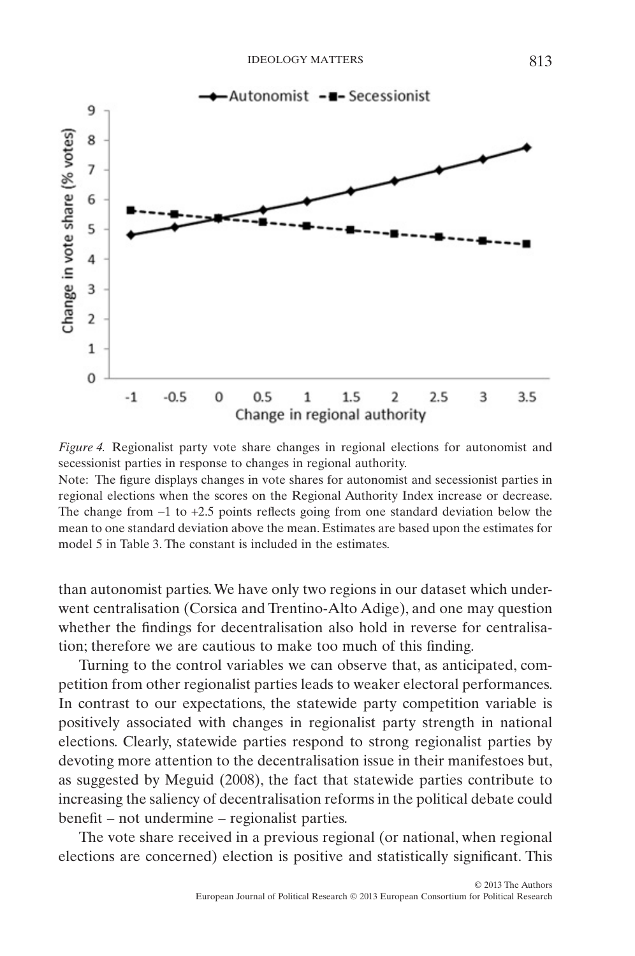



Note: The figure displays changes in vote shares for autonomist and secessionist parties in regional elections when the scores on the Regional Authority Index increase or decrease. The change from  $-1$  to  $+2.5$  points reflects going from one standard deviation below the mean to one standard deviation above the mean. Estimates are based upon the estimates for model 5 in Table 3. The constant is included in the estimates.

than autonomist parties.We have only two regions in our dataset which underwent centralisation (Corsica and Trentino-Alto Adige), and one may question whether the findings for decentralisation also hold in reverse for centralisation; therefore we are cautious to make too much of this finding.

Turning to the control variables we can observe that, as anticipated, competition from other regionalist parties leads to weaker electoral performances. In contrast to our expectations, the statewide party competition variable is positively associated with changes in regionalist party strength in national elections. Clearly, statewide parties respond to strong regionalist parties by devoting more attention to the decentralisation issue in their manifestoes but, as suggested by Meguid (2008), the fact that statewide parties contribute to increasing the saliency of decentralisation reforms in the political debate could benefit – not undermine – regionalist parties.

The vote share received in a previous regional (or national, when regional elections are concerned) election is positive and statistically significant. This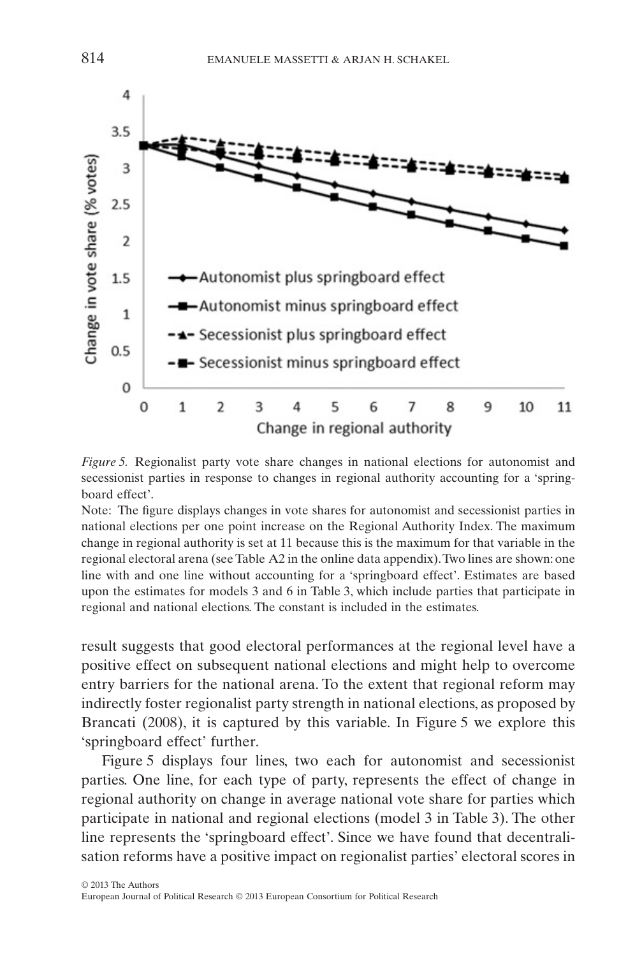

*Figure 5.* Regionalist party vote share changes in national elections for autonomist and secessionist parties in response to changes in regional authority accounting for a 'springboard effect'.

Note: The figure displays changes in vote shares for autonomist and secessionist parties in national elections per one point increase on the Regional Authority Index. The maximum change in regional authority is set at 11 because this is the maximum for that variable in the regional electoral arena (see Table A2 in the online data appendix).Two lines are shown: one line with and one line without accounting for a 'springboard effect'. Estimates are based upon the estimates for models 3 and 6 in Table 3, which include parties that participate in regional and national elections. The constant is included in the estimates.

result suggests that good electoral performances at the regional level have a positive effect on subsequent national elections and might help to overcome entry barriers for the national arena. To the extent that regional reform may indirectly foster regionalist party strength in national elections, as proposed by Brancati (2008), it is captured by this variable. In Figure 5 we explore this 'springboard effect' further.

Figure 5 displays four lines, two each for autonomist and secessionist parties. One line, for each type of party, represents the effect of change in regional authority on change in average national vote share for parties which participate in national and regional elections (model 3 in Table 3). The other line represents the 'springboard effect'. Since we have found that decentralisation reforms have a positive impact on regionalist parties' electoral scores in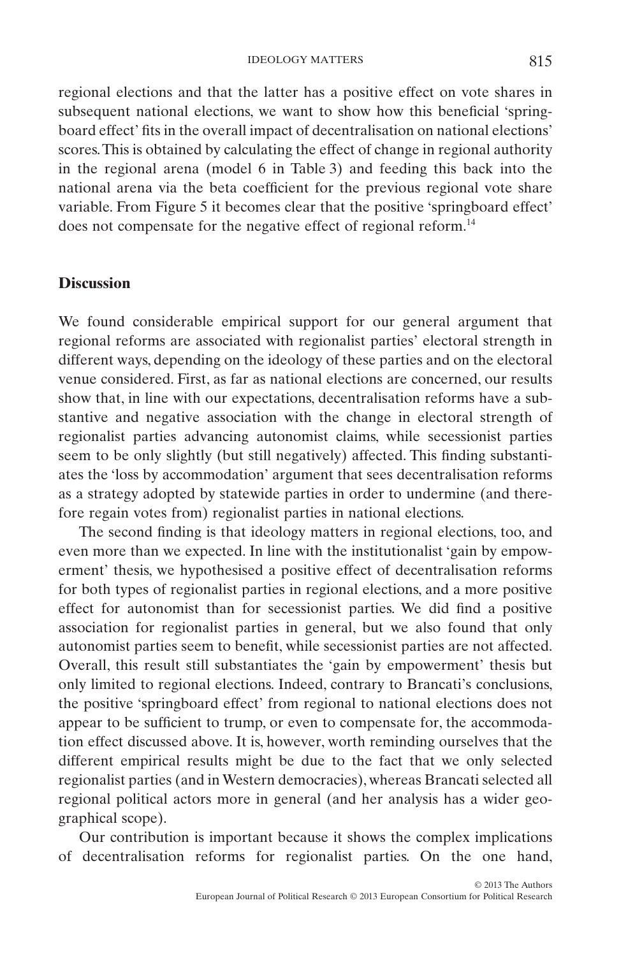regional elections and that the latter has a positive effect on vote shares in subsequent national elections, we want to show how this beneficial 'springboard effect' fits in the overall impact of decentralisation on national elections' scores.This is obtained by calculating the effect of change in regional authority in the regional arena (model 6 in Table 3) and feeding this back into the national arena via the beta coefficient for the previous regional vote share variable. From Figure 5 it becomes clear that the positive 'springboard effect' does not compensate for the negative effect of regional reform.<sup>14</sup>

#### **Discussion**

We found considerable empirical support for our general argument that regional reforms are associated with regionalist parties' electoral strength in different ways, depending on the ideology of these parties and on the electoral venue considered. First, as far as national elections are concerned, our results show that, in line with our expectations, decentralisation reforms have a substantive and negative association with the change in electoral strength of regionalist parties advancing autonomist claims, while secessionist parties seem to be only slightly (but still negatively) affected. This finding substantiates the 'loss by accommodation' argument that sees decentralisation reforms as a strategy adopted by statewide parties in order to undermine (and therefore regain votes from) regionalist parties in national elections.

The second finding is that ideology matters in regional elections, too, and even more than we expected. In line with the institutionalist 'gain by empowerment' thesis, we hypothesised a positive effect of decentralisation reforms for both types of regionalist parties in regional elections, and a more positive effect for autonomist than for secessionist parties. We did find a positive association for regionalist parties in general, but we also found that only autonomist parties seem to benefit, while secessionist parties are not affected. Overall, this result still substantiates the 'gain by empowerment' thesis but only limited to regional elections. Indeed, contrary to Brancati's conclusions, the positive 'springboard effect' from regional to national elections does not appear to be sufficient to trump, or even to compensate for, the accommodation effect discussed above. It is, however, worth reminding ourselves that the different empirical results might be due to the fact that we only selected regionalist parties (and in Western democracies), whereas Brancati selected all regional political actors more in general (and her analysis has a wider geographical scope).

Our contribution is important because it shows the complex implications of decentralisation reforms for regionalist parties. On the one hand,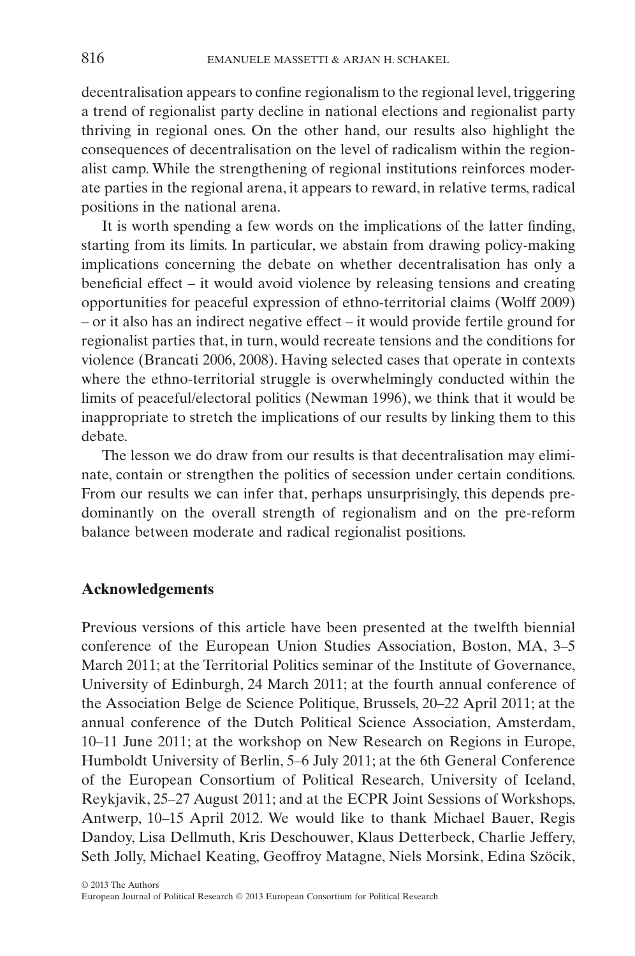decentralisation appears to confine regionalism to the regional level, triggering a trend of regionalist party decline in national elections and regionalist party thriving in regional ones. On the other hand, our results also highlight the consequences of decentralisation on the level of radicalism within the regionalist camp. While the strengthening of regional institutions reinforces moderate parties in the regional arena, it appears to reward, in relative terms, radical positions in the national arena.

It is worth spending a few words on the implications of the latter finding, starting from its limits. In particular, we abstain from drawing policy-making implications concerning the debate on whether decentralisation has only a beneficial effect – it would avoid violence by releasing tensions and creating opportunities for peaceful expression of ethno-territorial claims (Wolff 2009) – or it also has an indirect negative effect – it would provide fertile ground for regionalist parties that, in turn, would recreate tensions and the conditions for violence (Brancati 2006, 2008). Having selected cases that operate in contexts where the ethno-territorial struggle is overwhelmingly conducted within the limits of peaceful/electoral politics (Newman 1996), we think that it would be inappropriate to stretch the implications of our results by linking them to this debate.

The lesson we do draw from our results is that decentralisation may eliminate, contain or strengthen the politics of secession under certain conditions. From our results we can infer that, perhaps unsurprisingly, this depends predominantly on the overall strength of regionalism and on the pre-reform balance between moderate and radical regionalist positions.

#### **Acknowledgements**

Previous versions of this article have been presented at the twelfth biennial conference of the European Union Studies Association, Boston, MA, 3–5 March 2011; at the Territorial Politics seminar of the Institute of Governance, University of Edinburgh, 24 March 2011; at the fourth annual conference of the Association Belge de Science Politique, Brussels, 20–22 April 2011; at the annual conference of the Dutch Political Science Association, Amsterdam, 10–11 June 2011; at the workshop on New Research on Regions in Europe, Humboldt University of Berlin, 5–6 July 2011; at the 6th General Conference of the European Consortium of Political Research, University of Iceland, Reykjavik, 25–27 August 2011; and at the ECPR Joint Sessions of Workshops, Antwerp, 10–15 April 2012. We would like to thank Michael Bauer, Regis Dandoy, Lisa Dellmuth, Kris Deschouwer, Klaus Detterbeck, Charlie Jeffery, Seth Jolly, Michael Keating, Geoffroy Matagne, Niels Morsink, Edina Szöcik,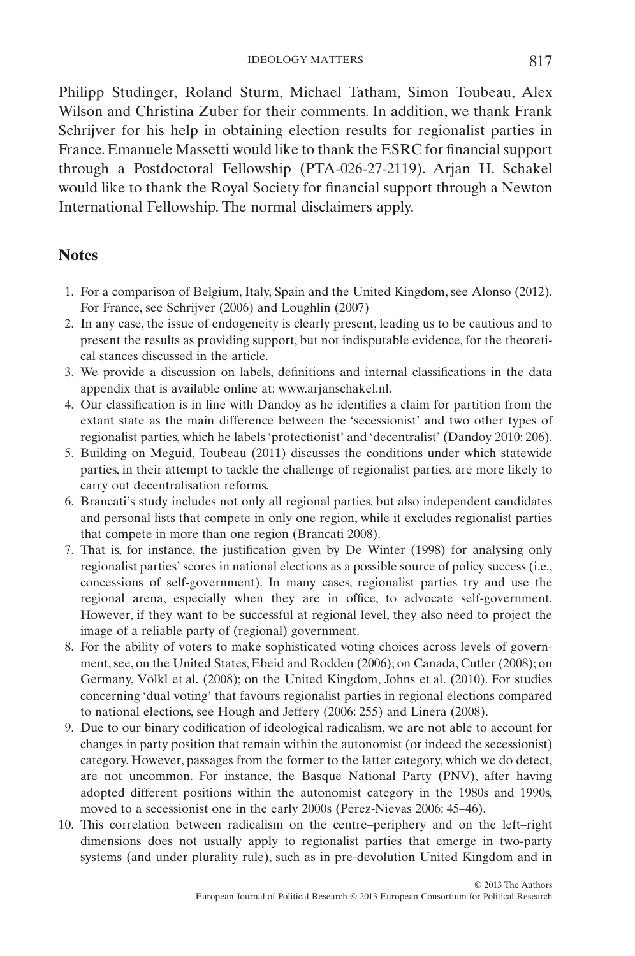Philipp Studinger, Roland Sturm, Michael Tatham, Simon Toubeau, Alex Wilson and Christina Zuber for their comments. In addition, we thank Frank Schrijver for his help in obtaining election results for regionalist parties in France. Emanuele Massetti would like to thank the ESRC for financial support through a Postdoctoral Fellowship (PTA-026-27-2119). Arjan H. Schakel would like to thank the Royal Society for financial support through a Newton International Fellowship. The normal disclaimers apply.

## **Notes**

- 1. For a comparison of Belgium, Italy, Spain and the United Kingdom, see Alonso (2012). For France, see Schrijver (2006) and Loughlin (2007)
- 2. In any case, the issue of endogeneity is clearly present, leading us to be cautious and to present the results as providing support, but not indisputable evidence, for the theoretical stances discussed in the article.
- 3. We provide a discussion on labels, definitions and internal classifications in the data appendix that is available online at: www.arjanschakel.nl.
- 4. Our classification is in line with Dandoy as he identifies a claim for partition from the extant state as the main difference between the 'secessionist' and two other types of regionalist parties, which he labels 'protectionist' and 'decentralist' (Dandoy 2010: 206).
- 5. Building on Meguid, Toubeau (2011) discusses the conditions under which statewide parties, in their attempt to tackle the challenge of regionalist parties, are more likely to carry out decentralisation reforms.
- 6. Brancati's study includes not only all regional parties, but also independent candidates and personal lists that compete in only one region, while it excludes regionalist parties that compete in more than one region (Brancati 2008).
- 7. That is, for instance, the justification given by De Winter (1998) for analysing only regionalist parties' scores in national elections as a possible source of policy success (i.e., concessions of self-government). In many cases, regionalist parties try and use the regional arena, especially when they are in office, to advocate self-government. However, if they want to be successful at regional level, they also need to project the image of a reliable party of (regional) government.
- 8. For the ability of voters to make sophisticated voting choices across levels of government, see, on the United States, Ebeid and Rodden (2006); on Canada, Cutler (2008); on Germany, Völkl et al. (2008); on the United Kingdom, Johns et al. (2010). For studies concerning 'dual voting' that favours regionalist parties in regional elections compared to national elections, see Hough and Jeffery (2006: 255) and Linera (2008).
- 9. Due to our binary codification of ideological radicalism, we are not able to account for changes in party position that remain within the autonomist (or indeed the secessionist) category. However, passages from the former to the latter category, which we do detect, are not uncommon. For instance, the Basque National Party (PNV), after having adopted different positions within the autonomist category in the 1980s and 1990s, moved to a secessionist one in the early 2000s (Perez-Nievas 2006: 45–46).
- 10. This correlation between radicalism on the centre–periphery and on the left–right dimensions does not usually apply to regionalist parties that emerge in two-party systems (and under plurality rule), such as in pre-devolution United Kingdom and in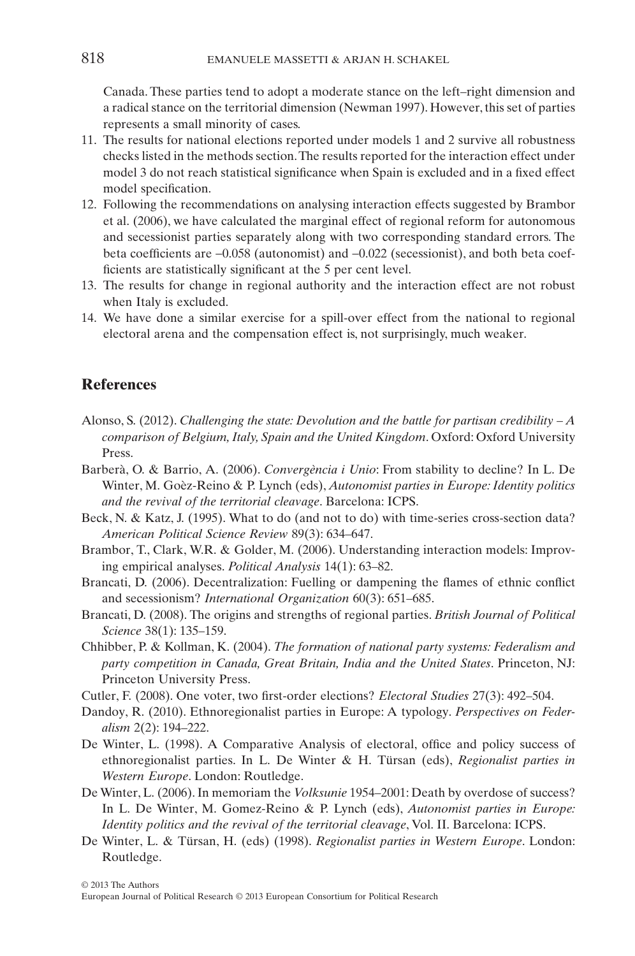Canada. These parties tend to adopt a moderate stance on the left–right dimension and a radical stance on the territorial dimension (Newman 1997). However, this set of parties represents a small minority of cases.

- 11. The results for national elections reported under models 1 and 2 survive all robustness checks listed in the methods section.The results reported for the interaction effect under model 3 do not reach statistical significance when Spain is excluded and in a fixed effect model specification.
- 12. Following the recommendations on analysing interaction effects suggested by Brambor et al. (2006), we have calculated the marginal effect of regional reform for autonomous and secessionist parties separately along with two corresponding standard errors. The beta coefficients are -0.058 (autonomist) and -0.022 (secessionist), and both beta coefficients are statistically significant at the 5 per cent level.
- 13. The results for change in regional authority and the interaction effect are not robust when Italy is excluded.
- 14. We have done a similar exercise for a spill-over effect from the national to regional electoral arena and the compensation effect is, not surprisingly, much weaker.

## **References**

- Alonso, S. (2012). *Challenging the state: Devolution and the battle for partisan credibility A comparison of Belgium, Italy, Spain and the United Kingdom*. Oxford: Oxford University Press.
- Barberà, O. & Barrio, A. (2006). *Convergència i Unio*: From stability to decline? In L. De Winter, M. Goèz-Reino & P. Lynch (eds), *Autonomist parties in Europe: Identity politics and the revival of the territorial cleavage*. Barcelona: ICPS.
- Beck, N. & Katz, J. (1995). What to do (and not to do) with time-series cross-section data? *American Political Science Review* 89(3): 634–647.
- Brambor, T., Clark, W.R. & Golder, M. (2006). Understanding interaction models: Improving empirical analyses. *Political Analysis* 14(1): 63–82.
- Brancati, D. (2006). Decentralization: Fuelling or dampening the flames of ethnic conflict and secessionism? *International Organization* 60(3): 651–685.
- Brancati, D. (2008). The origins and strengths of regional parties. *British Journal of Political Science* 38(1): 135–159.
- Chhibber, P. & Kollman, K. (2004). *The formation of national party systems: Federalism and party competition in Canada, Great Britain, India and the United States*. Princeton, NJ: Princeton University Press.
- Cutler, F. (2008). One voter, two first-order elections? *Electoral Studies* 27(3): 492–504.
- Dandoy, R. (2010). Ethnoregionalist parties in Europe: A typology. *Perspectives on Federalism* 2(2): 194–222.
- De Winter, L. (1998). A Comparative Analysis of electoral, office and policy success of ethnoregionalist parties. In L. De Winter & H. Türsan (eds), *Regionalist parties in Western Europe*. London: Routledge.
- De Winter, L. (2006). In memoriam the *Volksunie* 1954–2001: Death by overdose of success? In L. De Winter, M. Gomez-Reino & P. Lynch (eds), *Autonomist parties in Europe: Identity politics and the revival of the territorial cleavage*, Vol. II. Barcelona: ICPS.
- De Winter, L. & Türsan, H. (eds) (1998). *Regionalist parties in Western Europe*. London: Routledge.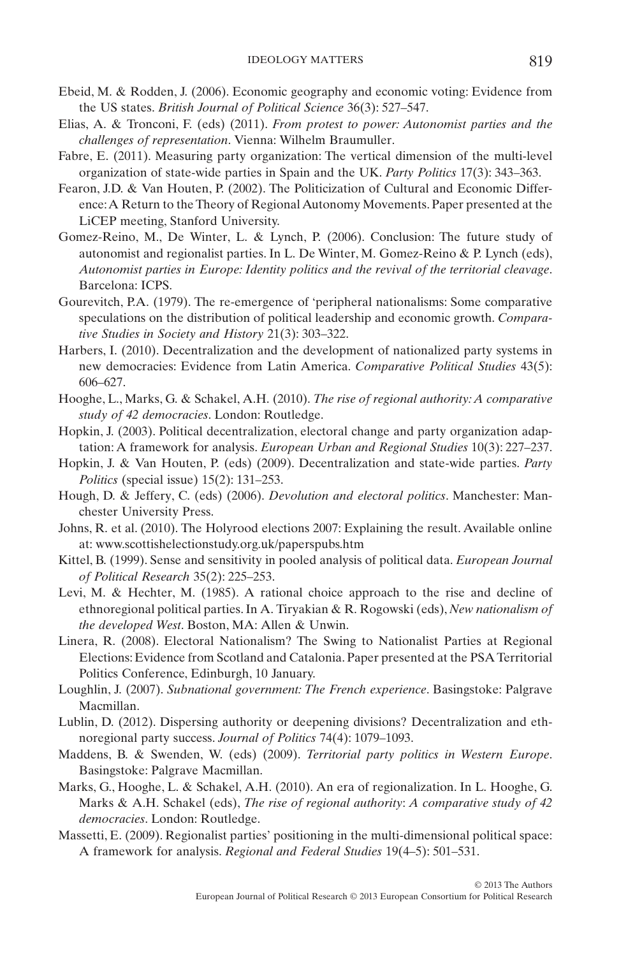- Ebeid, M. & Rodden, J. (2006). Economic geography and economic voting: Evidence from the US states. *British Journal of Political Science* 36(3): 527–547.
- Elias, A. & Tronconi, F. (eds) (2011). *From protest to power: Autonomist parties and the challenges of representation*. Vienna: Wilhelm Braumuller.
- Fabre, E. (2011). Measuring party organization: The vertical dimension of the multi-level organization of state-wide parties in Spain and the UK. *Party Politics* 17(3): 343–363.
- Fearon, J.D. & Van Houten, P. (2002). The Politicization of Cultural and Economic Difference:A Return to the Theory of Regional Autonomy Movements. Paper presented at the LiCEP meeting, Stanford University.
- Gomez-Reino, M., De Winter, L. & Lynch, P. (2006). Conclusion: The future study of autonomist and regionalist parties. In L. De Winter, M. Gomez-Reino & P. Lynch (eds), *Autonomist parties in Europe: Identity politics and the revival of the territorial cleavage*. Barcelona: ICPS.
- Gourevitch, P.A. (1979). The re-emergence of 'peripheral nationalisms: Some comparative speculations on the distribution of political leadership and economic growth. *Comparative Studies in Society and History* 21(3): 303–322.
- Harbers, I. (2010). Decentralization and the development of nationalized party systems in new democracies: Evidence from Latin America. *Comparative Political Studies* 43(5): 606–627.
- Hooghe, L., Marks, G. & Schakel, A.H. (2010). *The rise of regional authority: A comparative study of 42 democracies*. London: Routledge.
- Hopkin, J. (2003). Political decentralization, electoral change and party organization adaptation: A framework for analysis. *European Urban and Regional Studies* 10(3): 227–237.
- Hopkin, J. & Van Houten, P. (eds) (2009). Decentralization and state-wide parties. *Party Politics* (special issue) 15(2): 131–253.
- Hough, D. & Jeffery, C. (eds) (2006). *Devolution and electoral politics*. Manchester: Manchester University Press.
- Johns, R. et al. (2010). The Holyrood elections 2007: Explaining the result. Available online at: www.scottishelectionstudy.org.uk/paperspubs.htm
- Kittel, B. (1999). Sense and sensitivity in pooled analysis of political data. *European Journal of Political Research* 35(2): 225–253.
- Levi, M. & Hechter, M. (1985). A rational choice approach to the rise and decline of ethnoregional political parties. In A. Tiryakian & R. Rogowski (eds), *New nationalism of the developed West*. Boston, MA: Allen & Unwin.
- Linera, R. (2008). Electoral Nationalism? The Swing to Nationalist Parties at Regional Elections: Evidence from Scotland and Catalonia. Paper presented at the PSA Territorial Politics Conference, Edinburgh, 10 January.
- Loughlin, J. (2007). *Subnational government: The French experience*. Basingstoke: Palgrave Macmillan.
- Lublin, D. (2012). Dispersing authority or deepening divisions? Decentralization and ethnoregional party success. *Journal of Politics* 74(4): 1079–1093.
- Maddens, B. & Swenden, W. (eds) (2009). *Territorial party politics in Western Europe*. Basingstoke: Palgrave Macmillan.
- Marks, G., Hooghe, L. & Schakel, A.H. (2010). An era of regionalization. In L. Hooghe, G. Marks & A.H. Schakel (eds), *The rise of regional authority*: *A comparative study of 42 democracies*. London: Routledge.
- Massetti, E. (2009). Regionalist parties' positioning in the multi-dimensional political space: A framework for analysis. *Regional and Federal Studies* 19(4–5): 501–531.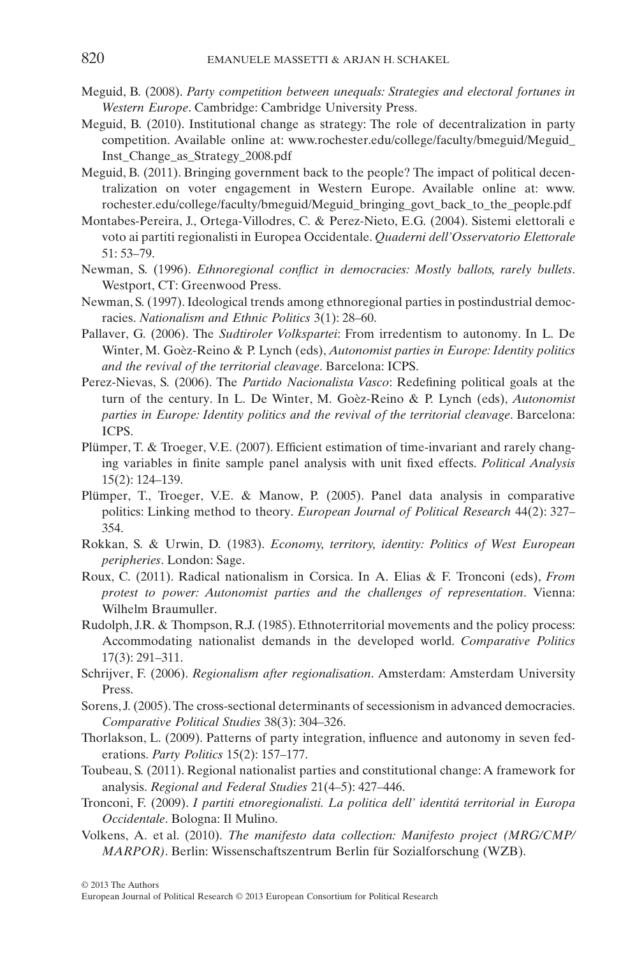- Meguid, B. (2008). *Party competition between unequals: Strategies and electoral fortunes in Western Europe*. Cambridge: Cambridge University Press.
- Meguid, B. (2010). Institutional change as strategy: The role of decentralization in party competition. Available online at: www.rochester.edu/college/faculty/bmeguid/Meguid\_ Inst\_Change\_as\_Strategy\_2008.pdf
- Meguid, B. (2011). Bringing government back to the people? The impact of political decentralization on voter engagement in Western Europe. Available online at: www. rochester.edu/college/faculty/bmeguid/Meguid\_bringing\_govt\_back\_to\_the\_people.pdf
- Montabes-Pereira, J., Ortega-Villodres, C. & Perez-Nieto, E.G. (2004). Sistemi elettorali e voto ai partiti regionalisti in Europea Occidentale. *Quaderni dell'Osservatorio Elettorale* 51: 53–79.
- Newman, S. (1996). *Ethnoregional conflict in democracies: Mostly ballots, rarely bullets*. Westport, CT: Greenwood Press.
- Newman, S. (1997). Ideological trends among ethnoregional parties in postindustrial democracies. *Nationalism and Ethnic Politics* 3(1): 28–60.
- Pallaver, G. (2006). The *Sudtiroler Volkspartei*: From irredentism to autonomy. In L. De Winter, M. Goèz-Reino & P. Lynch (eds), *Autonomist parties in Europe: Identity politics and the revival of the territorial cleavage*. Barcelona: ICPS.
- Perez-Nievas, S. (2006). The *Partido Nacionalista Vasco*: Redefining political goals at the turn of the century. In L. De Winter, M. Goèz-Reino & P. Lynch (eds), *Autonomist parties in Europe: Identity politics and the revival of the territorial cleavage*. Barcelona: ICPS.
- Plümper, T. & Troeger, V.E. (2007). Efficient estimation of time-invariant and rarely changing variables in finite sample panel analysis with unit fixed effects. *Political Analysis* 15(2): 124–139.
- Plümper, T., Troeger, V.E. & Manow, P. (2005). Panel data analysis in comparative politics: Linking method to theory. *European Journal of Political Research* 44(2): 327– 354.
- Rokkan, S. & Urwin, D. (1983). *Economy, territory, identity: Politics of West European peripheries*. London: Sage.
- Roux, C. (2011). Radical nationalism in Corsica. In A. Elias & F. Tronconi (eds), *From protest to power: Autonomist parties and the challenges of representation*. Vienna: Wilhelm Braumuller.
- Rudolph, J.R. & Thompson, R.J. (1985). Ethnoterritorial movements and the policy process: Accommodating nationalist demands in the developed world. *Comparative Politics* 17(3): 291–311.
- Schrijver, F. (2006). *Regionalism after regionalisation*. Amsterdam: Amsterdam University Press.
- Sorens, J. (2005). The cross-sectional determinants of secessionism in advanced democracies. *Comparative Political Studies* 38(3): 304–326.
- Thorlakson, L. (2009). Patterns of party integration, influence and autonomy in seven federations. *Party Politics* 15(2): 157–177.
- Toubeau, S. (2011). Regional nationalist parties and constitutional change: A framework for analysis. *Regional and Federal Studies* 21(4–5): 427–446.
- Tronconi, F. (2009). *I partiti etnoregionalisti. La politica dell' identitá territorial in Europa Occidentale*. Bologna: Il Mulino.
- Volkens, A. et al. (2010). *The manifesto data collection: Manifesto project (MRG/CMP/ MARPOR)*. Berlin: Wissenschaftszentrum Berlin für Sozialforschung (WZB).

© 2013 The Authors